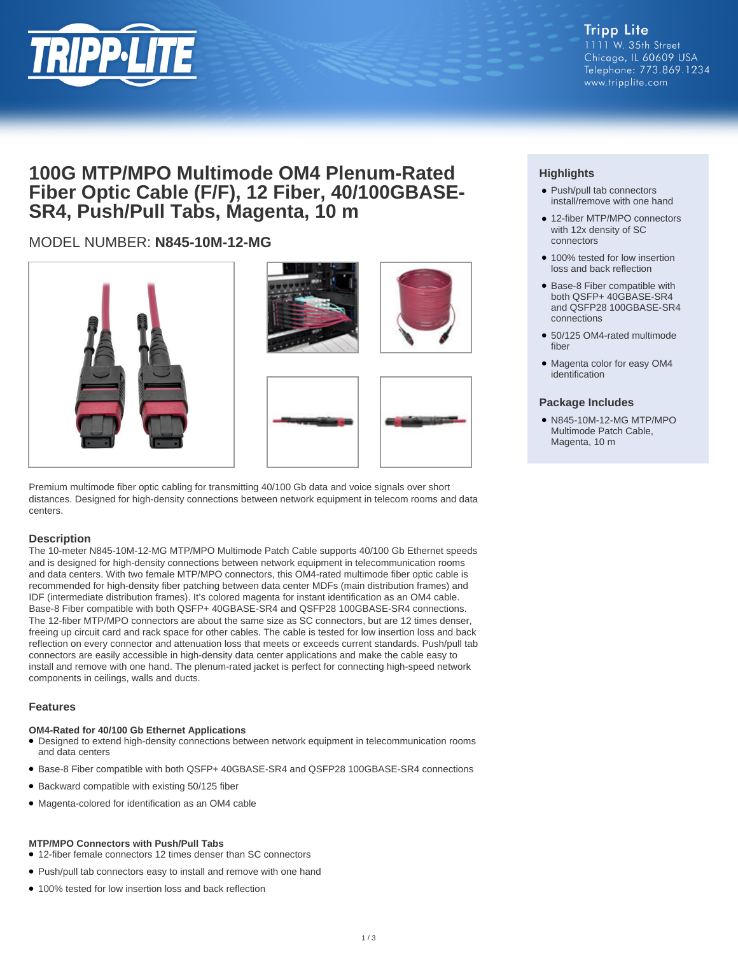

## **100G MTP/MPO Multimode OM4 Plenum-Rated Fiber Optic Cable (F/F), 12 Fiber, 40/100GBASE-SR4, Push/Pull Tabs, Magenta, 10 m**

## MODEL NUMBER: **N845-10M-12-MG**





Premium multimode fiber optic cabling for transmitting 40/100 Gb data and voice signals over short distances. Designed for high-density connections between network equipment in telecom rooms and data centers.

#### **Description**

The 10-meter N845-10M-12-MG MTP/MPO Multimode Patch Cable supports 40/100 Gb Ethernet speeds and is designed for high-density connections between network equipment in telecommunication rooms and data centers. With two female MTP/MPO connectors, this OM4-rated multimode fiber optic cable is recommended for high-density fiber patching between data center MDFs (main distribution frames) and IDF (intermediate distribution frames). It's colored magenta for instant identification as an OM4 cable. Base-8 Fiber compatible with both QSFP+ 40GBASE-SR4 and QSFP28 100GBASE-SR4 connections. The 12-fiber MTP/MPO connectors are about the same size as SC connectors, but are 12 times denser, freeing up circuit card and rack space for other cables. The cable is tested for low insertion loss and back reflection on every connector and attenuation loss that meets or exceeds current standards. Push/pull tab connectors are easily accessible in high-density data center applications and make the cable easy to install and remove with one hand. The plenum-rated jacket is perfect for connecting high-speed network components in ceilings, walls and ducts.

#### **Features**

#### **OM4-Rated for 40/100 Gb Ethernet Applications**

- Designed to extend high-density connections between network equipment in telecommunication rooms and data centers
- Base-8 Fiber compatible with both QSFP+ 40GBASE-SR4 and QSFP28 100GBASE-SR4 connections
- Backward compatible with existing 50/125 fiber
- Magenta-colored for identification as an OM4 cable

#### **MTP/MPO Connectors with Push/Pull Tabs**

- 12-fiber female connectors 12 times denser than SC connectors
- Push/pull tab connectors easy to install and remove with one hand
- 100% tested for low insertion loss and back reflection

### **Highlights**

- Push/pull tab connectors install/remove with one hand
- 12-fiber MTP/MPO connectors with 12x density of SC connectors
- 100% tested for low insertion loss and back reflection
- Base-8 Fiber compatible with both QSFP+ 40GBASE-SR4 and QSFP28 100GBASE-SR4 connections
- 50/125 OM4-rated multimode fiber
- Magenta color for easy OM4 identification

#### **Package Includes**

● N845-10M-12-MG MTP/MPO Multimode Patch Cable, Magenta, 10 m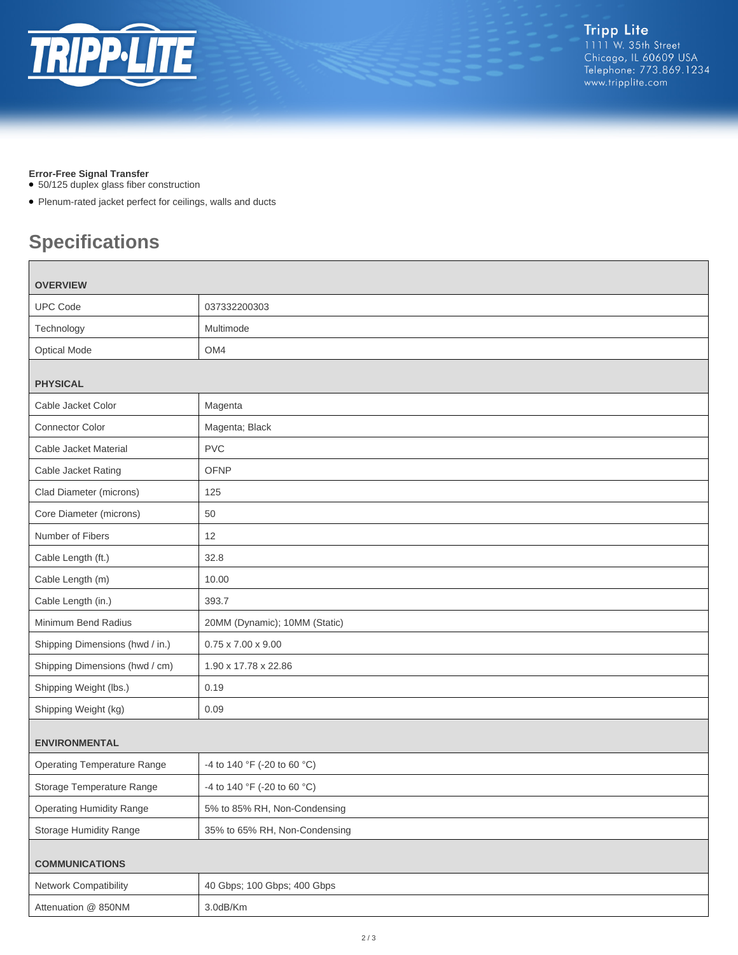

#### **Error-Free Signal Transfer**

- 50/125 duplex glass fiber construction
- Plenum-rated jacket perfect for ceilings, walls and ducts

# **Specifications**

 $\Box$ 

| <b>OVERVIEW</b>                    |                                |
|------------------------------------|--------------------------------|
| <b>UPC Code</b>                    | 037332200303                   |
| Technology                         | Multimode                      |
| <b>Optical Mode</b>                | OM4                            |
| <b>PHYSICAL</b>                    |                                |
| Cable Jacket Color                 | Magenta                        |
| <b>Connector Color</b>             | Magenta; Black                 |
| Cable Jacket Material              | <b>PVC</b>                     |
| Cable Jacket Rating                | <b>OFNP</b>                    |
| Clad Diameter (microns)            | 125                            |
| Core Diameter (microns)            | 50                             |
| Number of Fibers                   | 12                             |
| Cable Length (ft.)                 | 32.8                           |
| Cable Length (m)                   | 10.00                          |
| Cable Length (in.)                 | 393.7                          |
| Minimum Bend Radius                | 20MM (Dynamic); 10MM (Static)  |
| Shipping Dimensions (hwd / in.)    | $0.75 \times 7.00 \times 9.00$ |
| Shipping Dimensions (hwd / cm)     | 1.90 x 17.78 x 22.86           |
| Shipping Weight (lbs.)             | 0.19                           |
| Shipping Weight (kg)               | 0.09                           |
| <b>ENVIRONMENTAL</b>               |                                |
| <b>Operating Temperature Range</b> | -4 to 140 °F (-20 to 60 °C)    |
| Storage Temperature Range          | -4 to 140 °F (-20 to 60 °C)    |
| <b>Operating Humidity Range</b>    | 5% to 85% RH, Non-Condensing   |
| <b>Storage Humidity Range</b>      | 35% to 65% RH, Non-Condensing  |
| <b>COMMUNICATIONS</b>              |                                |
| Network Compatibility              | 40 Gbps; 100 Gbps; 400 Gbps    |
| Attenuation @ 850NM                | 3.0dB/Km                       |